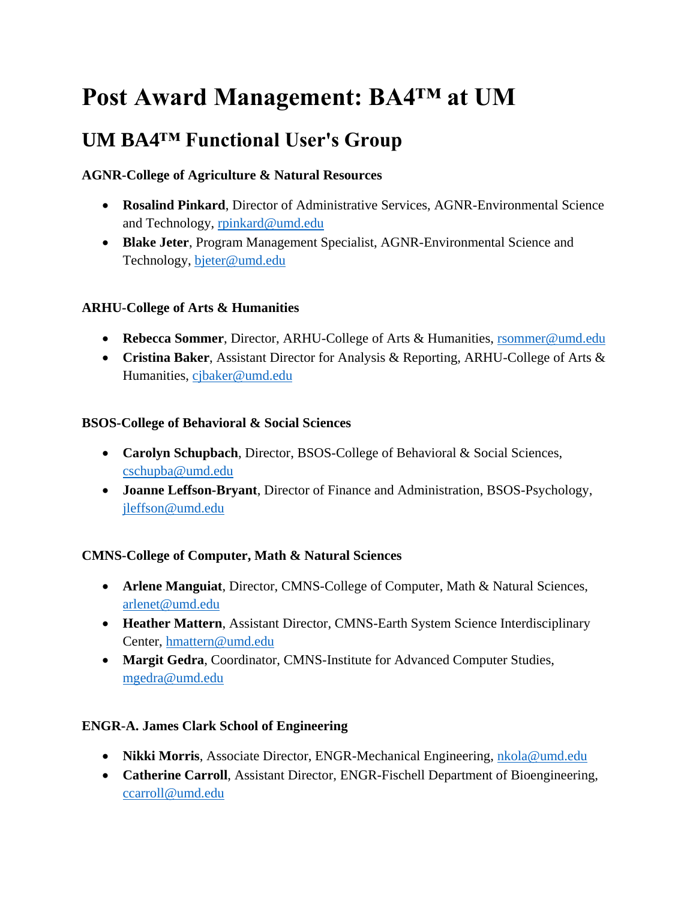# **Post Award Management: BA4™ at UM**

# **UM BA4™ Functional User's Group**

# **AGNR-College of Agriculture & Natural Resources**

- **Rosalind Pinkard**, Director of Administrative Services, AGNR-Environmental Science and Technology, [rpinkard@umd.edu](mailto:rpinkard@umd.edu)
- **Blake Jeter**, Program Management Specialist, AGNR-Environmental Science and Technology, [bjeter@umd.edu](mailto:bjeter@umd.edu)

# **ARHU-College of Arts & Humanities**

- **Rebecca Sommer**, Director, ARHU-College of Arts & Humanities, [rsommer@umd.edu](mailto:rsommer@umd.edu)
- **Cristina Baker**, Assistant Director for Analysis & Reporting, ARHU-College of Arts & Humanities, [cjbaker@umd.edu](mailto:cjbaker@umd.edu)

#### **BSOS-College of Behavioral & Social Sciences**

- **Carolyn Schupbach**, Director, BSOS-College of Behavioral & Social Sciences, [cschupba@umd.edu](mailto:cschupba@umd.edu)
- **Joanne Leffson-Bryant**, Director of Finance and Administration, BSOS-Psychology, [jleffson@umd.edu](mailto:jleffson@umd.edu)

# **CMNS-College of Computer, Math & Natural Sciences**

- **Arlene Manguiat**, Director, CMNS-College of Computer, Math & Natural Sciences, [arlenet@umd.edu](mailto:arlenet@umd.edu)
- **Heather Mattern**, Assistant Director, CMNS-Earth System Science Interdisciplinary Center, [hmattern@umd.edu](mailto:hmattern@umd.edu)
- **Margit Gedra**, Coordinator, CMNS-Institute for Advanced Computer Studies, [mgedra@umd.edu](mailto:mgedra@umd.edu)

# **ENGR-A. James Clark School of Engineering**

- **Nikki Morris**, Associate Director, ENGR-Mechanical Engineering, [nkola@umd.edu](mailto:nkola@umd.edu)
- **Catherine Carroll**, Assistant Director, ENGR-Fischell Department of Bioengineering, [ccarroll@umd.edu](mailto:ccarroll@umd.edu)